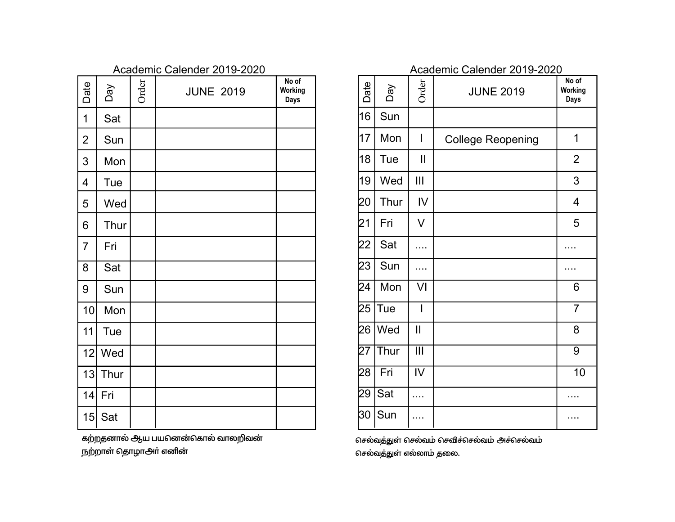|                |            |       | Academic Calender 2019-2020 |                                 |  |
|----------------|------------|-------|-----------------------------|---------------------------------|--|
| Date           | Day        | Order | <b>JUNE 2019</b>            | No of<br>Working<br><b>Days</b> |  |
| 1              | Sat        |       |                             |                                 |  |
| $\overline{2}$ | Sun        |       |                             |                                 |  |
| 3              | Mon        |       |                             |                                 |  |
| $\overline{4}$ | <b>Tue</b> |       |                             |                                 |  |
| 5              | Wed        |       |                             |                                 |  |
| 6              | Thur       |       |                             |                                 |  |
| $\overline{7}$ | Fri        |       |                             |                                 |  |
| 8              | Sat        |       |                             |                                 |  |
| 9              | Sun        |       |                             |                                 |  |
| 10             | Mon        |       |                             |                                 |  |
| 11             | Tue        |       |                             |                                 |  |
| 12             | Wed        |       |                             |                                 |  |
| 13             | Thur       |       |                             |                                 |  |
| 14             | Fri        |       |                             |                                 |  |
| 15             | Sat        |       |                             |                                 |  |

கற்றதனால் ஆய பயனென்கொல் வாலறிவன் நற்றாள் தொழாஅர் எனின்

|                 |      |                         | <b>ACQUETTIIC CAIGHUGI ZU IS-ZUZU</b> |                                 |
|-----------------|------|-------------------------|---------------------------------------|---------------------------------|
| Date            | Day  | Order                   | <b>JUNE 2019</b>                      | No of<br>Working<br><b>Days</b> |
| 16              | Sun  |                         |                                       |                                 |
| 17              | Mon  | I                       | <b>College Reopening</b>              | 1                               |
| 18              | Tue  | Ш                       |                                       | $\overline{2}$                  |
| 19              | Wed  | Ш                       |                                       | 3                               |
| 20              | Thur | IV                      |                                       | 4                               |
| 21              | Fri  | V                       |                                       | 5                               |
| 22              | Sat  |                         |                                       |                                 |
| 23              | Sun  |                         |                                       |                                 |
| 24              | Mon  | VI                      |                                       | 6                               |
| 25              | Tue  | I                       |                                       | $\overline{7}$                  |
| 26              | Wed  | $\mathbf{I}$            |                                       | 8                               |
| $\overline{27}$ | Thur | $\overline{\mathbb{H}}$ |                                       | $\overline{9}$                  |
| 28              | Fri  | IV                      |                                       | 10                              |
| 29              | Sat  | .                       |                                       | .                               |
| 30              | Sun  |                         |                                       |                                 |

செல்வத்துள் செல்வம் செவிச்செல்வம் அச்செல்வம் செல்வத்துள் எல்லாம் தலை.

# Academic Calender 2019-2020 Academic Calender 2019-2020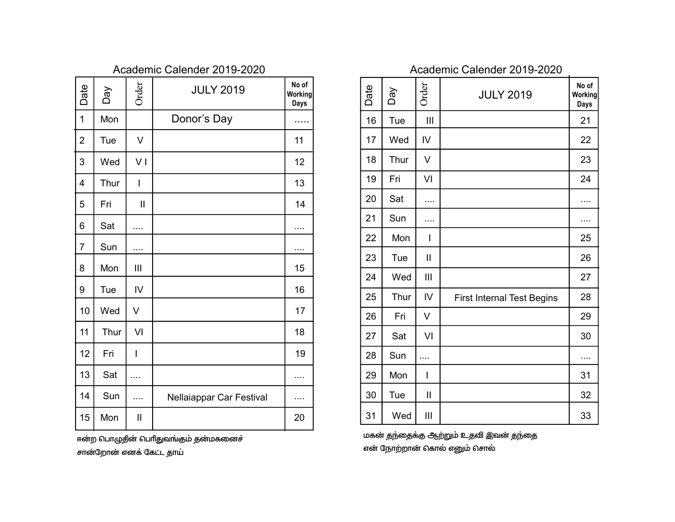| Date           | Day  | Order         | <b>JULY 2019</b>         | No of<br>Working<br>Days | Date | Day  | Order          |  |
|----------------|------|---------------|--------------------------|--------------------------|------|------|----------------|--|
| $\mathbf{1}$   | Mon  |               | Donor's Day              |                          | 16   | Tue  | III            |  |
| $\overline{2}$ | Tue  | $\vee$        |                          | 11                       | 17   | Wed  | IV             |  |
| 3              | Wed  | VI            |                          | 12                       | 18   | Thur | V              |  |
| 4              | Thur | $\mathsf{I}$  |                          | 13                       | 19   | Fri  | VI             |  |
| 5              | Fri  | $\mathbf{I}$  |                          | 14                       | 20   | Sat  | .              |  |
| 6              | Sat  | .             |                          | .                        | 21   | Sun  | .              |  |
| $\overline{7}$ |      |               |                          |                          | 22   | Mon  | $\overline{1}$ |  |
|                | Sun  |               |                          |                          | 23   | Tue  | $\mathbf{II}$  |  |
| 8              | Mon  | III           |                          | 15                       | 24   | Wed  | $\mathbf{III}$ |  |
| 9              | Tue  | IV            |                          | 16                       | 25   | Thur | IV             |  |
| 10             | Wed  | $\vee$        |                          | 17                       | 26   | Fri  | V              |  |
| 11             | Thur | VI            |                          | 18                       | 27   | Sat  | VI             |  |
| 12             | Fri  | I             |                          | 19                       | 28   | Sun  | $\cdots$       |  |
| 13             | Sat  | .             |                          | .                        | 29   | Mon  | I              |  |
| 14             | Sun  | $\cdots$      | Nellaiappar Car Festival |                          | 30   | Tue  | $\mathbf{I}$   |  |
| 15             | Mon  | $\mathbf{  }$ |                          | 20                       | 31   | Wed  | Ш              |  |
|                |      |               |                          |                          |      |      |                |  |

ஈன்ற பொழுதின் பெரிதுவங்கும் தன்மகனைச் சான்றோன் எனக் கேட்ட தாய்

| Date | Day  | Order         | <b>JULY 2019</b>                  | No of<br>Working<br>Days |
|------|------|---------------|-----------------------------------|--------------------------|
| 16   | Tue  | III           |                                   | 21                       |
| 17   | Wed  | IV            |                                   | 22                       |
| 18   | Thur | V             |                                   | 23                       |
| 19   | Fri  | VI            |                                   | 24                       |
| 20   | Sat  | .             |                                   | .                        |
| 21   | Sun  |               |                                   |                          |
| 22   | Mon  | I             |                                   | 25                       |
| 23   | Tue  | $\mathbf{II}$ |                                   | 26                       |
| 24   | Wed  | Ш             |                                   | 27                       |
| 25   | Thur | IV            | <b>First Internal Test Begins</b> | 28                       |
| 26   | Fri  | V             |                                   | 29                       |
| 27   | Sat  | VI            |                                   | 30                       |
| 28   | Sun  |               |                                   | .                        |
| 29   | Mon  | I             |                                   | 31                       |
| 30   | Tue  | $\mathbf{I}$  |                                   | 32                       |
| 31   | Wed  | Ш             |                                   | 33                       |

மகன் தந்தைக்கு ஆற்றும் உதவி இவன் தந்தை என் நோற்றான் கொல் எனும் சொல்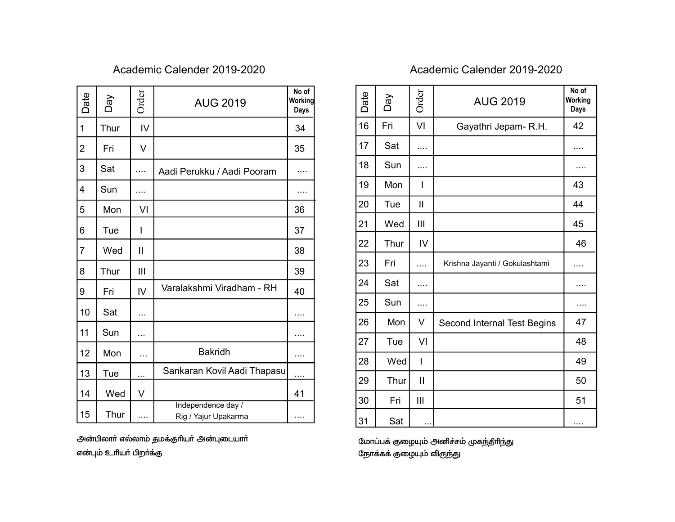| Date           | Day  | Order        | <b>AUG 2019</b>                            | No of<br>Working<br>Days |
|----------------|------|--------------|--------------------------------------------|--------------------------|
| 1              | Thur | IV           |                                            | 34                       |
| 2              | Fri  | V            |                                            | 35                       |
| 3              | Sat  | .            | Aadi Perukku / Aadi Pooram                 |                          |
| 4              | Sun  |              |                                            |                          |
| 5              | Mon  | VI           |                                            | 36                       |
| 6              | Tue  | I            |                                            | 37                       |
| $\overline{7}$ | Wed  | $\mathbf{I}$ |                                            | 38                       |
| 8              | Thur | Ш            |                                            | 39                       |
| 9              | Fri  | IV           | Varalakshmi Viradham - RH                  | 40                       |
| 10             | Sat  | .            |                                            | .                        |
| 11             | Sun  |              |                                            | .                        |
| 12             | Mon  | .            | <b>Bakridh</b>                             | .                        |
| 13             | Tue  | $\cdots$     | Sankaran Kovil Aadi Thapasu                |                          |
| 14             | Wed  | V            |                                            | 41                       |
| 15             | Thur | .            | Independence day /<br>Rig / Yajur Upakarma | .                        |

அன்பிலாா் எல்லாம் தமக்குாியா் அன்புடையாா் என்பும் உரியா் பிறா்க்கு

| Date | VeQ  | Order          | <b>AUG 2019</b>                | No of<br>Working<br><b>Days</b> |
|------|------|----------------|--------------------------------|---------------------------------|
| 16   | Fri  | VI             | Gayathri Jepam-R.H.            | 42                              |
| 17   | Sat  | .              |                                | .                               |
| 18   | Sun  | .              |                                | .                               |
| 19   | Mon  | I              |                                | 43                              |
| 20   | Tue  | Ш              |                                | 44                              |
| 21   | Wed  | Ш              |                                | 45                              |
| 22   | Thur | IV             |                                | 46                              |
| 23   | Fri  | .              | Krishna Jayanti / Gokulashtami | .                               |
| 24   | Sat  | .              |                                | .                               |
| 25   | Sun  | .              |                                | .                               |
| 26   | Mon  | V              | Second Internal Test Begins    | 47                              |
| 27   | Tue  | VI             |                                | 48                              |
| 28   | Wed  | I              |                                | 49                              |
| 29   | Thur | $\mathbf{II}$  |                                | 50                              |
| 30   | Fri  | $\mathbf{III}$ |                                | 51                              |
| 31   | Sat  | $\cdots$       |                                |                                 |

மோப்பக் குழையும் அனிச்சம் முகந்திாிந்து நோக்கக் குழையும் விருந்து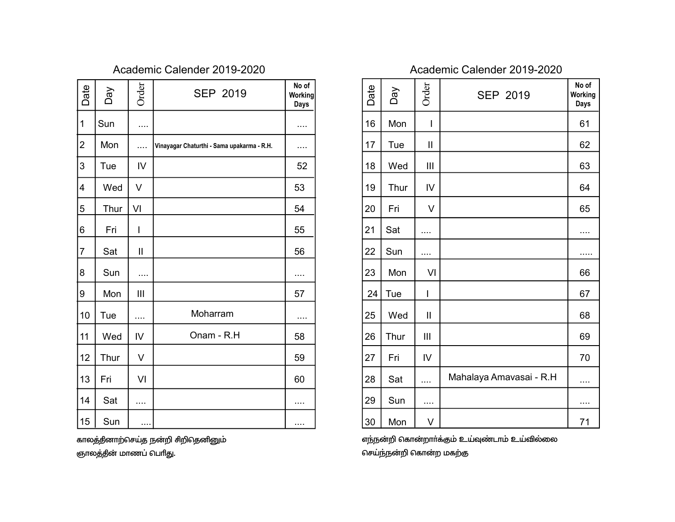| Date           | Day  | Order        | <b>SEP 2019</b>                            | No of<br>Working<br><b>Days</b> |
|----------------|------|--------------|--------------------------------------------|---------------------------------|
| 1              | Sun  | .            |                                            |                                 |
| $\overline{2}$ | Mon  | .            | Vinayagar Chaturthi - Sama upakarma - R.H. |                                 |
| 3              | Tue  | IV           |                                            | 52                              |
| $\overline{4}$ | Wed  | V            |                                            | 53                              |
| 5              | Thur | VI           |                                            | 54                              |
| 6              | Fri  | I            |                                            | 55                              |
| $\overline{7}$ | Sat  | $\mathbf{I}$ |                                            | 56                              |
| 8              | Sun  | .            |                                            | .                               |
| 9              | Mon  | Ш            |                                            | 57                              |
| 10             | Tue  | .            | Moharram                                   |                                 |
| 11             | Wed  | IV           | Onam - R.H                                 | 58                              |
| 12             | Thur | V            |                                            | 59                              |
| 13             | Fri  | VI           |                                            | 60                              |
| 14             | Sat  | .            |                                            | .                               |
| 15             | Sun  |              |                                            | .                               |

காலத்தினாற்செய்த நன்றி சிறிதெனினும் ஞாலத்தின் மாணப் பெரிது.

| Date | Day        | Order        | <b>SEP 2019</b>         | No of<br>Working<br><b>Days</b> |
|------|------------|--------------|-------------------------|---------------------------------|
| 16   | Mon        | I            |                         | 61                              |
| 17   | Tue        | $\mathbf{I}$ |                         | 62                              |
| 18   | Wed        | Ш            |                         | 63                              |
| 19   | Thur       | IV           |                         | 64                              |
| 20   | Fri        | V            |                         | 65                              |
| 21   | Sat        | .            |                         |                                 |
| 22   | Sun        |              |                         |                                 |
| 23   | Mon        | VI           |                         | 66                              |
| 24   | <b>Tue</b> | I            |                         | 67                              |
| 25   | Wed        | $\mathbf{I}$ |                         | 68                              |
| 26   | Thur       | Ш            |                         | 69                              |
| 27   | Fri        | IV           |                         | 70                              |
| 28   | Sat        |              | Mahalaya Amavasai - R.H | .                               |
| 29   | Sun        |              |                         | .                               |
| 30   | Mon        | V            |                         | 71                              |

எந்நன்றி கொன்றாா்க்கும் உய்வுண்டாம் உய்வில்லை செய்ந்நன்றி கொன்ற மகற்கு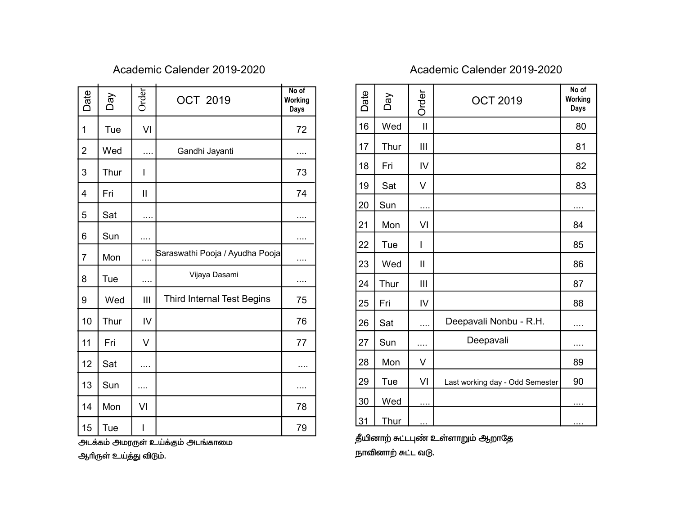| Date           | VeQ        | Order        | <b>OCT 2019</b>                 | No of<br>Working<br>Days |
|----------------|------------|--------------|---------------------------------|--------------------------|
| 1              | <b>Tue</b> | VI           |                                 | 72                       |
| $\overline{2}$ | Wed        |              | Gandhi Jayanti                  |                          |
| 3              | Thur       | I            |                                 | 73                       |
| 4              | Fri        | $\mathbf{I}$ |                                 | 74                       |
| 5              | Sat        |              |                                 |                          |
| 6              | Sun        | .            |                                 | .                        |
| 7              | Mon        |              | Saraswathi Pooja / Ayudha Pooja |                          |
| 8              | Tue        | .            | Vijaya Dasami                   | .                        |
| 9              | Wed        | III          | Third Internal Test Begins      | 75                       |
| 10             | Thur       | IV           |                                 | 76                       |
| 11             | Fri        | V            |                                 | 77                       |
| 12             | Sat        | $\cdots$     |                                 |                          |
| 13             | Sun        | .            |                                 |                          |
| 14             | Mon        | VI           |                                 | 78                       |
| 15             | Tue        | I            |                                 | 79                       |

அடக்கம் அமரருள் உய்க்கும் அடங்காமை ஆரிருள் உய்த்து விடும்.

| Date | Day         | Order        | <b>OCT 2019</b>                 | No of<br>Working<br>Days |
|------|-------------|--------------|---------------------------------|--------------------------|
| 16   | Wed         | $\mathbf{I}$ |                                 | 80                       |
| 17   | Thur        | Ш            |                                 | 81                       |
| 18   | Fri         | IV           |                                 | 82                       |
| 19   | Sat         | V            |                                 | 83                       |
| 20   | Sun         |              |                                 |                          |
| 21   | Mon         | VI           |                                 | 84                       |
| 22   | Tue         | I            |                                 | 85                       |
| 23   | Wed         | $\mathsf{I}$ |                                 | 86                       |
| 24   | Thur        | Ш            |                                 | 87                       |
| 25   | Fri         | IV           |                                 | 88                       |
| 26   | Sat         | .            | Deepavali Nonbu - R.H.          | .                        |
| 27   | Sun         | .            | Deepavali                       | .                        |
| 28   | Mon         | V            |                                 | 89                       |
| 29   | Tue         | VI           | Last working day - Odd Semester | 90                       |
| 30   | Wed         | $\cdots$     |                                 | $\cdots$                 |
| 31   | <u>Thur</u> |              |                                 | .                        |

தீயினாற் சுட்டபுண் உள்ளாறும் ஆறாதே நாவினாற் சுட்ட வடு.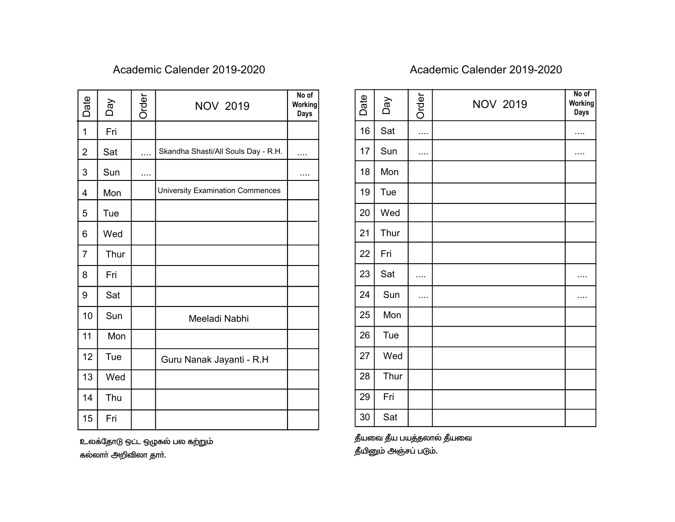| Date                    | VeQ                   | Order | <b>NOV 2019</b>                     | No of<br>Working<br>Days |
|-------------------------|-----------------------|-------|-------------------------------------|--------------------------|
| 1                       | Fri                   |       |                                     |                          |
| $\overline{2}$          | Sat                   | .     | Skandha Shasti/All Souls Day - R.H. | .                        |
| 3                       | Sun                   |       |                                     | .                        |
| $\overline{\mathbf{4}}$ | Mon                   |       | University Examination Commences    |                          |
| 5                       | Tue                   |       |                                     |                          |
| 6                       | Wed                   |       |                                     |                          |
| $\overline{7}$          | Thur                  |       |                                     |                          |
| 8                       | Fri                   |       |                                     |                          |
| 9                       | Sat                   |       |                                     |                          |
| 10                      | Sun                   |       | Meeladi Nabhi                       |                          |
| 11                      | Mon                   |       |                                     |                          |
| 12                      | Tue                   |       | Guru Nanak Jayanti - R.H            |                          |
| 13                      | Wed                   |       |                                     |                          |
| 14                      | Thu                   |       |                                     |                          |
| 15                      | Fri                   |       |                                     |                          |
|                         | கல்லார் அறிவிலா தார். |       | உலக்தோடு ஒட்ட ஒழுகல் பல கற்றும்     |                          |

| Date   | Day  | Order | <b>NOV 2019</b> | No of<br>Working<br><b>Days</b> |
|--------|------|-------|-----------------|---------------------------------|
| 16     | Sat  |       |                 | .                               |
| 17     | Sun  |       |                 | .                               |
| 18     | Mon  |       |                 |                                 |
| 19     | Tue  |       |                 |                                 |
| 20     | Wed  |       |                 |                                 |
| 21     | Thur |       |                 |                                 |
| 22     | Fri  |       |                 |                                 |
| 23     | Sat  | .     |                 | .                               |
| 24     | Sun  |       |                 | .                               |
| 25     | Mon  |       |                 |                                 |
| 26     | Tue  |       |                 |                                 |
| 27     | Wed  |       |                 |                                 |
| 28     | Thur |       |                 |                                 |
| 29     | Fri  |       |                 |                                 |
| $30\,$ | Sat  |       |                 |                                 |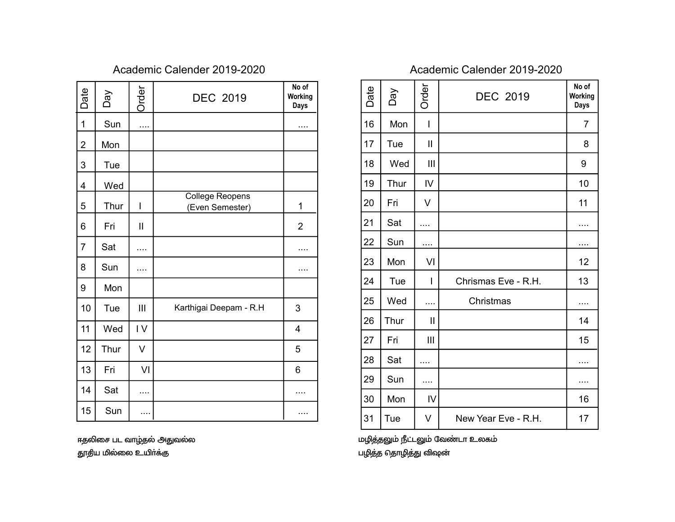| Date           | Day  | Order         | <b>DEC 2019</b>                           | No of<br>Working<br><b>Days</b> |
|----------------|------|---------------|-------------------------------------------|---------------------------------|
| 1              | Sun  |               |                                           |                                 |
| 2              | Mon  |               |                                           |                                 |
| 3              | Tue  |               |                                           |                                 |
| 4              | Wed  |               |                                           |                                 |
| 5              | Thur | I             | <b>College Reopens</b><br>(Even Semester) | 1                               |
| 6              | Fri  | $\mathbf{II}$ |                                           | $\overline{2}$                  |
| $\overline{7}$ | Sat  |               |                                           |                                 |
| 8              | Sun  |               |                                           | .                               |
| 9              | Mon  |               |                                           |                                 |
| 10             | Tue  | III           | Karthigai Deepam - R.H                    | 3                               |
| 11             | Wed  | IV            |                                           | 4                               |
| 12             | Thur | V             |                                           | 5                               |
| 13             | Fri  | VI            |                                           | 6                               |
| 14             | Sat  | .             |                                           |                                 |
| 15             | Sun  |               |                                           |                                 |

ஈதலிசை பட வாழ்தல் அதுவல்ல தூதிய மில்லை உயிா்க்கு

| Date | Day  | Order        | <b>DEC 2019</b>     | No of<br>Working<br><b>Days</b> |
|------|------|--------------|---------------------|---------------------------------|
| 16   | Mon  | I            |                     | $\overline{7}$                  |
| 17   | Tue  | $\mathbf{I}$ |                     | 8                               |
| 18   | Wed  | Ш            |                     | 9                               |
| 19   | Thur | IV           |                     | 10                              |
| 20   | Fri  | V            |                     | 11                              |
| 21   | Sat  |              |                     |                                 |
| 22   | Sun  | $\cdots$     |                     |                                 |
| 23   | Mon  | VI           |                     | 12                              |
| 24   | Tue  | I            | Chrismas Eve - R.H. | 13                              |
| 25   | Wed  |              | Christmas           |                                 |
| 26   | Thur | Ш            |                     | 14                              |
| 27   | Fri  | Ш            |                     | 15                              |
| 28   | Sat  |              |                     |                                 |
| 29   | Sun  | .            |                     | .                               |
| 30   | Mon  | IV           |                     | 16                              |
| 31   | Tue  | V            | New Year Eve - R.H. | 17                              |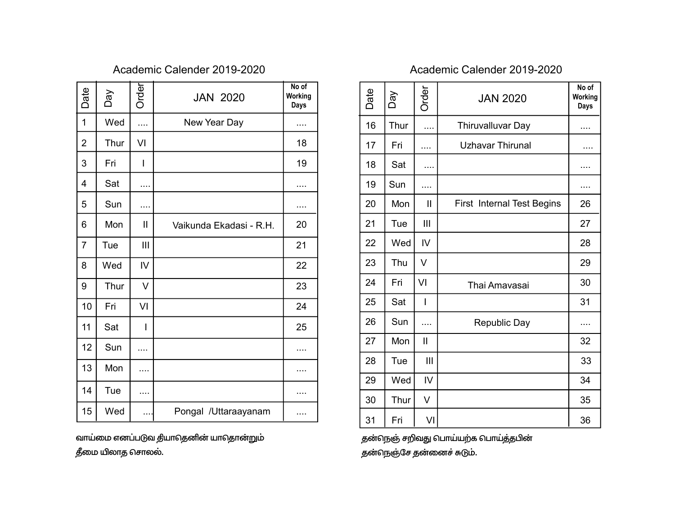| Date           | Day  | Order         | <b>JAN 2020</b>         | No of<br>Working<br>Days |
|----------------|------|---------------|-------------------------|--------------------------|
| 1              | Wed  |               | New Year Day            |                          |
| $\overline{2}$ | Thur | VI            |                         | 18                       |
| 3              | Fri  | I             |                         | 19                       |
| 4              | Sat  | .             |                         |                          |
| 5              | Sun  |               |                         |                          |
| 6              | Mon  | $\mathbf{II}$ | Vaikunda Ekadasi - R.H. | 20                       |
| $\overline{7}$ | Tue  | III           |                         | 21                       |
| 8              | Wed  | IV            |                         | 22                       |
| 9              | Thur | V             |                         | 23                       |
| 10             | Fri  | VI            |                         | 24                       |
| 11             | Sat  | I             |                         | 25                       |
| 12             | Sun  | .             |                         | .                        |
| 13             | Mon  | .             |                         | .                        |
| 14             | Tue  |               |                         | .                        |
| 15             | Wed  |               | Pongal /Uttaraayanam    |                          |

வாய்மை எனப்படுவ தியாதெனின் யாதொன்றும் தீமை யிலாத சொலல்.

| Date | Day  | Order        | <b>JAN 2020</b>                   | No of<br>Working<br><b>Days</b> |
|------|------|--------------|-----------------------------------|---------------------------------|
| 16   | Thur | .            | Thiruvalluvar Day                 | .                               |
| 17   | Fri  |              | <b>Uzhavar Thirunal</b>           |                                 |
| 18   | Sat  | .            |                                   | .                               |
| 19   | Sun  |              |                                   |                                 |
| 20   | Mon  | $\mathbf{I}$ | <b>First Internal Test Begins</b> | 26                              |
| 21   | Tue  | Ш            |                                   | 27                              |
| 22   | Wed  | IV           |                                   | 28                              |
| 23   | Thu  | V            |                                   | 29                              |
| 24   | Fri  | VI           | Thai Amavasai                     | 30                              |
| 25   | Sat  | I            |                                   | 31                              |
| 26   | Sun  | .            | Republic Day                      | .                               |
| 27   | Mon  | $\mathbf{I}$ |                                   | 32                              |
| 28   | Tue  | Ш            |                                   | 33                              |
| 29   | Wed  | IV           |                                   | 34                              |
| 30   | Thur | V            |                                   | 35                              |
| 31   | Fri  | VI           |                                   | 36                              |

தன்நெஞ் சறிவது பொய்யற்க பொய்த்தபின் தன்நெஞ்சே தன்னைச் சுடும்.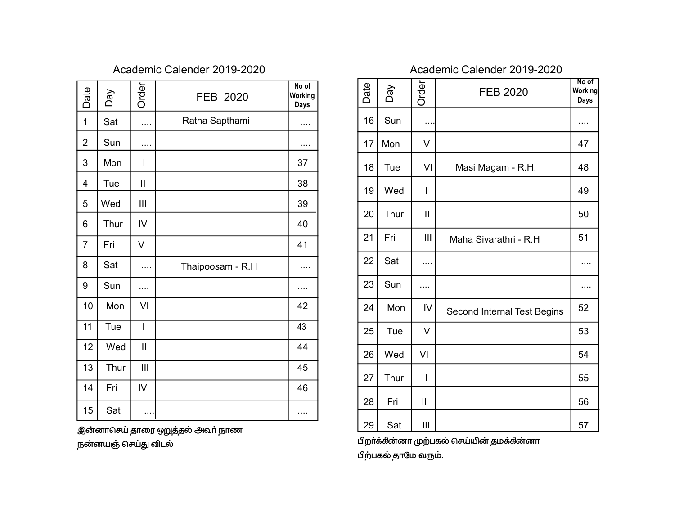| Date           | Day  | <b>Order</b>   | FEB 2020         | No of<br><b>Working</b><br><b>Days</b> |
|----------------|------|----------------|------------------|----------------------------------------|
| $\mathbf{1}$   | Sat  | .              | Ratha Sapthami   |                                        |
| $\overline{2}$ | Sun  |                |                  |                                        |
| 3              | Mon  | I              |                  | 37                                     |
| $\overline{4}$ | Tue  | $\mathbf{I}$   |                  | 38                                     |
| 5              | Wed  | Ш              |                  | 39                                     |
| 6              | Thur | IV             |                  | 40                                     |
| $\overline{7}$ | Fri  | V              |                  | 41                                     |
| 8              | Sat  | .              | Thaipoosam - R.H |                                        |
| 9              | Sun  | .              |                  | .                                      |
| 10             | Mon  | VI             |                  | 42                                     |
| 11             | Tue  | $\overline{1}$ |                  | 43                                     |
| 12             | Wed  | $\mathbf{I}$   |                  | 44                                     |
| 13             | Thur | III            |                  | 45                                     |
| 14             | Fri  | IV             |                  | 46                                     |
| 15             | Sat  | $\cdots$       |                  |                                        |

இன்னாசெய் தாரை ஒறுத்தல் அவா் நாண

நன்னயஞ் செய்து விடல்

| Date | Day  | Order        | <b>FEB 2020</b>             | No of<br>Working<br><b>Days</b> |
|------|------|--------------|-----------------------------|---------------------------------|
| 16   | Sun  |              |                             | .                               |
| 17   | Mon  | V            |                             | 47                              |
| 18   | Tue  | VI           | Masi Magam - R.H.           | 48                              |
| 19   | Wed  | I            |                             | 49                              |
| 20   | Thur | $\mathbf{I}$ |                             | 50                              |
| 21   | Fri  | III          | Maha Sivarathri - R.H.      | 51                              |
| 22   | Sat  |              |                             |                                 |
| 23   | Sun  | .            |                             | .                               |
| 24   | Mon  | IV           | Second Internal Test Begins | 52                              |
| 25   | Tue  | V            |                             | 53                              |
| 26   | Wed  | VI           |                             | 54                              |
| 27   | Thur | I            |                             | 55                              |
| 28   | Fri  | $\mathbf{I}$ |                             | 56                              |
| 29   | Sat  | Ш            |                             | 57                              |

பிறா்க்கின்னா முற்பகல் செய்யின் தமக்கின்னா பிற்பகல் தாமே வரும்.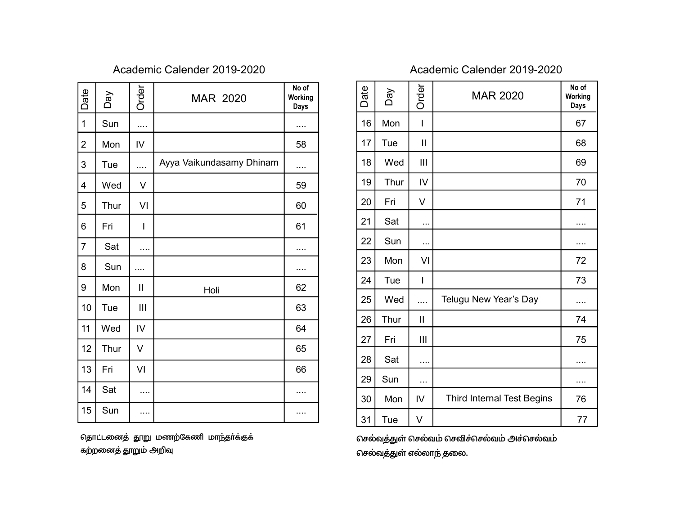| Date           | Day  | Order                    | <b>MAR 2020</b>          | No of<br>Working<br><b>Days</b> |
|----------------|------|--------------------------|--------------------------|---------------------------------|
| $\overline{1}$ | Sun  | .                        |                          | .                               |
| $\overline{2}$ | Mon  | $\mathsf{IV}$            |                          | 58                              |
| 3              | Tue  | .                        | Ayya Vaikundasamy Dhinam |                                 |
| 4              | Wed  | V                        |                          | 59                              |
| 5              | Thur | VI                       |                          | 60                              |
| 6              | Fri  | $\overline{\phantom{a}}$ |                          | 61                              |
| $\overline{7}$ | Sat  | .                        |                          | .                               |
| 8              | Sun  | .                        |                          | .                               |
| 9              | Mon  | $\mathbf{I}$             | Holi                     | 62                              |
| 10             | Tue  | III                      |                          | 63                              |
| 11             | Wed  | IV                       |                          | 64                              |
| 12             | Thur | V                        |                          | 65                              |
| 13             | Fri  | VI                       |                          | 66                              |
| 14             | Sat  | .                        |                          | .                               |
| 15             | Sun  |                          |                          |                                 |

தொட்டனைத் தூறு மணற்கேணி மாந்தா்க்குக் கற்றனைத் தூறும் அறிவு

| Date | Day  | Order        | <b>MAR 2020</b>                   | No of<br>Working<br>Days |
|------|------|--------------|-----------------------------------|--------------------------|
| 16   | Mon  | I            |                                   | 67                       |
| 17   | Tue  | $\mathsf{I}$ |                                   | 68                       |
| 18   | Wed  | Ш            |                                   | 69                       |
| 19   | Thur | IV           |                                   | 70                       |
| 20   | Fri  | V            |                                   | 71                       |
| 21   | Sat  | $\cdots$     |                                   | .                        |
| 22   | Sun  | $\cdots$     |                                   | .                        |
| 23   | Mon  | VI           |                                   | 72                       |
| 24   | Tue  | I            |                                   | 73                       |
| 25   | Wed  | .            | Telugu New Year's Day             | .                        |
| 26   | Thur | $\mathbf{I}$ |                                   | 74                       |
| 27   | Fri  | Ш            |                                   | 75                       |
| 28   | Sat  | .            |                                   | .                        |
| 29   | Sun  | .            |                                   | .                        |
| 30   | Mon  | IV           | <b>Third Internal Test Begins</b> | 76                       |
| 31   | Tue  | V            |                                   | 77                       |

செல்வத்துள் செல்வம் செவிச்செல்வம் அச்செல்வம் செல்வத்துள் எல்லாந் தலை.